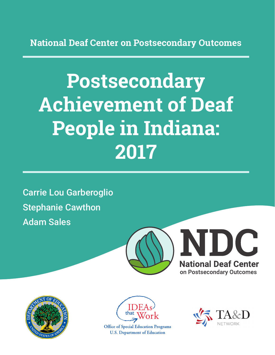**National Deaf Center on Postsecondary Outcomes**

# **Postsecondary Achievement of Deaf People in Indiana: 2017**

Carrie Lou Garberoglio Stephanie Cawthon Adam Sales







**Office of Special Education Programs U.S. Department of Education** 

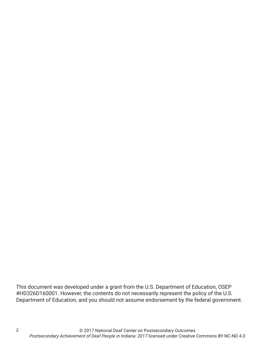This document was developed under a grant from the U.S. Department of Education, OSEP #HD326D160001. However, the contents do not necessarily represent the policy of the U.S. Department of Education, and you should not assume endorsement by the federal government.

2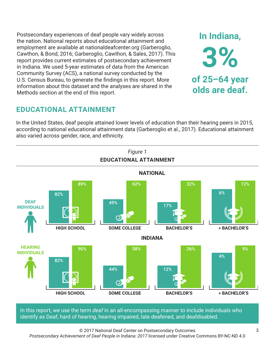Postsecondary experiences of deaf people vary widely across the nation. National reports about educational attainment and employment are available at nationaldeafcenter.org (Garberoglio, Cawthon, & Bond, 2016; Garberoglio, Cawthon, & Sales, 2017). This report provides current estimates of postsecondary achievement in Indiana. We used 5-year estimates of data from the American Community Survey (ACS), a national survey conducted by the U.S. Census Bureau, to generate the findings in this report. More information about this dataset and the analyses are shared in the Methods section at the end of this report.

# **EDUCATIONAL ATTAINMENT**

In the United States, deaf people attained lower levels of education than their hearing peers in 2015, according to national educational attainment data (Garberoglio et al., 2017). Educational attainment also varied across gender, race, and ethnicity.



In this report, we use the term *deaf* in an all-encompassing manner to include individuals who identify as Deaf, hard of hearing, hearing impaired, late deafened, and deafdisabled.

© 2017 National Deaf Center on Postsecondary Outcomes *Postsecondary Achievement of Deaf People in Indiana: 2017* licensed under Creative Commons BY-NC-ND 4.0

**In Indiana,**

**3%**

**of 25–64 year**

**olds are deaf.**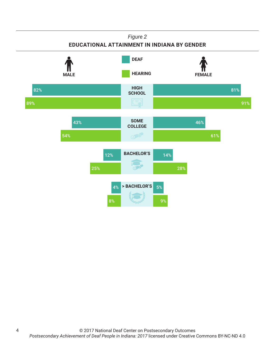## *Figure 2* **EDUCATIONAL ATTAINMENT IN INDIANA BY GENDER HIGH SCHOOL SOME COLLEGE BACHELOR'S > BACHELOR'S HEARING** FEMALE **DEAF** 82% 89% 81% 91% 43% 54% 46% 61% 12% 25% 14% 28% 4% 8% 5% 9%

4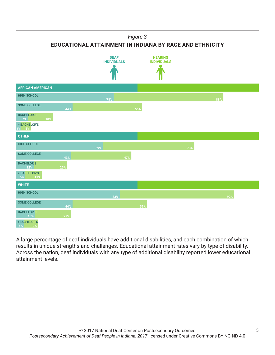### *Figure 3*

**EDUCATIONAL ATTAINMENT IN INDIANA BY RACE AND ETHNICITY**



A large percentage of deaf individuals have additional disabilities, and each combination of which results in unique strengths and challenges. Educational attainment rates vary by type of disability. Across the nation, deaf individuals with any type of additional disability reported lower educational attainment levels.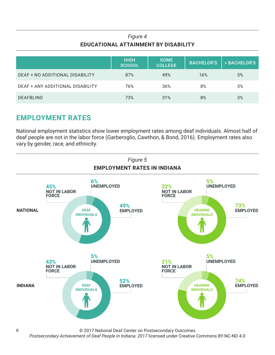## *Figure 4* **EDUCATIONAL ATTAINMENT BY DISABILITY**

|                                  | <b>HIGH</b><br><b>SCHOOL</b> | <b>SOME</b><br><b>COLLEGE</b> | <b>BACHELOR'S</b> | > BACHELOR'S |
|----------------------------------|------------------------------|-------------------------------|-------------------|--------------|
| DEAF + NO ADDITIONAL DISABILITY  | 87%                          | 49%                           | 16%               | 5%           |
| DEAF + ANY ADDITIONAL DISABILITY | 76%                          | 36%                           | 8%                | 3%           |
| <b>DEAFBLIND</b>                 | 73%                          | 31%                           | 8%                | 3%           |

## **EMPLOYMENT RATES**

National employment statistics show lower employment rates among deaf individuals. Almost half of deaf people are not in the labor force (Garberoglio, Cawthon, & Bond, 2016). Employment rates also vary by gender, race, and ethnicity.



© 2017 National Deaf Center on Postsecondary Outcomes

*Postsecondary Achievement of Deaf People in Indiana: 2017* licensed under Creative Commons BY-NC-ND 4.0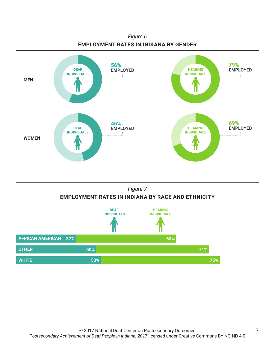

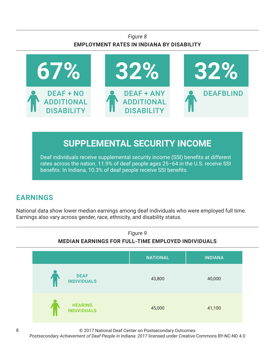## *Figure 8* **EMPLOYMENT RATES IN INDIANA BY DISABILITY**



# **SUPPLEMENTAL SECURITY INCOME**

Deaf individuals receive supplemental security income (SSI) benefits at different rates across the nation. 11.9% of deaf people ages 25–64 in the U.S. receive SSI benefits. In Indiana, 10.3% of deaf people receive SSI benefits.

# **EARNINGS**

National data show lower median earnings among deaf individuals who were employed full time. Earnings also vary across gender, race, ethnicity, and disability status.



© 2017 National Deaf Center on Postsecondary Outcomes

*Postsecondary Achievement of Deaf People in Indiana: 2017* licensed under Creative Commons BY-NC-ND 4.0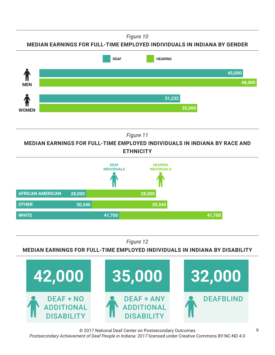*Figure 10*

**MEDIAN EARNINGS FOR FULL-TIME EMPLOYED INDIVIDUALS IN INDIANA BY GENDER**



*Figure 11*

**MEDIAN EARNINGS FOR FULL-TIME EMPLOYED INDIVIDUALS IN INDIANA BY RACE AND ETHNICITY**



*Figure 12*

**MEDIAN EARNINGS FOR FULL-TIME EMPLOYED INDIVIDUALS IN INDIANA BY DISABILITY**



© 2017 National Deaf Center on Postsecondary Outcomes *Postsecondary Achievement of Deaf People in Indiana: 2017* licensed under Creative Commons BY-NC-ND 4.0